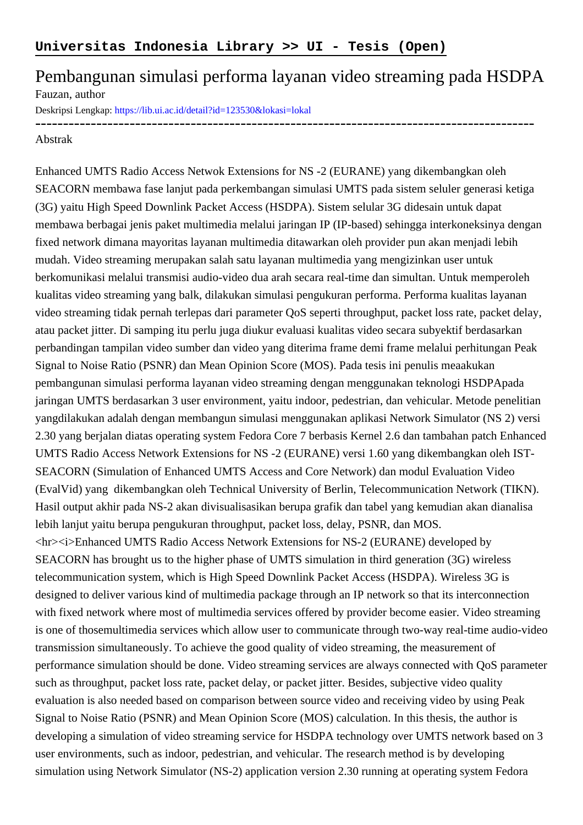## Pembangunan simulasi performa layanan video streaming pada HSDPA Fauzan, author

Deskripsi Lengkap:<https://lib.ui.ac.id/detail?id=123530&lokasi=lokal>

------------------------------------------------------------------------------------------ Abstrak

Enhanced UMTS Radio Access Netwok Extensions for NS -2 (EURANE) yang dikembangkan oleh SEACORN membawa fase lanjut pada perkembangan simulasi UMTS pada sistem seluler generasi ketiga (3G) yaitu High Speed Downlink Packet Access (HSDPA). Sistem selular 3G didesain untuk dapat membawa berbagai jenis paket multimedia melalui jaringan IP (IP-based) sehingga interkoneksinya dengan fixed network dimana mayoritas layanan multimedia ditawarkan oleh provider pun akan menjadi lebih mudah. Video streaming merupakan salah satu layanan multimedia yang mengizinkan user untuk berkomunikasi melalui transmisi audio-video dua arah secara real-time dan simultan. Untuk memperoleh kualitas video streaming yang balk, dilakukan simulasi pengukuran performa. Performa kualitas layanan video streaming tidak pernah terlepas dari parameter QoS seperti throughput, packet loss rate, packet delay, atau packet jitter. Di samping itu perlu juga diukur evaluasi kualitas video secara subyektif berdasarkan perbandingan tampilan video sumber dan video yang diterima frame demi frame melalui perhitungan Peak Signal to Noise Ratio (PSNR) dan Mean Opinion Score (MOS). Pada tesis ini penulis meaakukan pembangunan simulasi performa layanan video streaming dengan menggunakan teknologi HSDPA pada jaringan UMTS berdasarkan 3 user environment, yaitu indoor, pedestrian, dan vehicular. Metode penelitian yang dilakukan adalah dengan membangun simulasi menggunakan aplikasi Network Simulator (NS 2) versi 2.30 yang berjalan diatas operating system Fedora Core 7 berbasis Kernel 2.6 dan tambahan patch Enhanced UMTS Radio Access Network Extensions for NS -2 (EURANE) versi 1.60 yang dikembangkan oleh IST-SEACORN (Simulation of Enhanced UMTS Access and Core Network) dan modul Evaluation Video (EvalVid) yang dikembangkan oleh Technical University of Berlin, Telecommunication Network (TIKN). Hasil output akhir pada NS-2 akan divisualisasikan berupa grafik dan tabel yang kemudian akan dianalisa lebih lanjut yaitu berupa pengukuran throughput, packet loss, delay, PSNR, dan MOS. <hr><i>Enhanced UMTS Radio Access Network Extensions for NS-2 (EURANE) developed by SEACORN has brought us to the higher phase of UMTS simulation in third generation (3G) wireless telecommunication system, which is High Speed Downlink Packet Access (HSDPA). Wireless 3G is designed to deliver various kind of multimedia package through an IP network so that its interconnection with fixed network where most of multimedia services offered by provider become easier. Video streaming is one of those multimedia services which allow user to communicate through two-way real-time audio-video transmission simultaneously. To achieve the good quality of video streaming, the measurement of performance simulation should be done. Video streaming services are always connected with QoS parameter such as throughput, packet loss rate, packet delay, or packet jitter. Besides, subjective video quality evaluation is also needed based on comparison between source video and receiving video by using Peak Signal to Noise Ratio (PSNR) and Mean Opinion Score (MOS) calculation. In this thesis, the author is developing a simulation of video streaming service for HSDPA technology over UMTS network based on 3 user environments, such as indoor, pedestrian, and vehicular. The research method is by developing simulation using Network Simulator (NS-2) application version 2.30 running at operating system Fedora